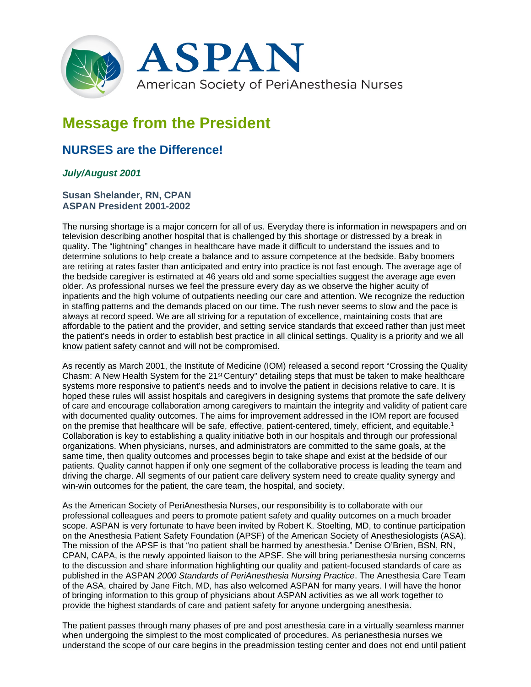

# **Message from the President**

# **NURSES are the Difference!**

## *July/August 2001*

### **Susan Shelander, RN, CPAN ASPAN President 2001-2002**

The nursing shortage is a major concern for all of us. Everyday there is information in newspapers and on television describing another hospital that is challenged by this shortage or distressed by a break in quality. The "lightning" changes in healthcare have made it difficult to understand the issues and to determine solutions to help create a balance and to assure competence at the bedside. Baby boomers are retiring at rates faster than anticipated and entry into practice is not fast enough. The average age of the bedside caregiver is estimated at 46 years old and some specialties suggest the average age even older. As professional nurses we feel the pressure every day as we observe the higher acuity of inpatients and the high volume of outpatients needing our care and attention. We recognize the reduction in staffing patterns and the demands placed on our time. The rush never seems to slow and the pace is always at record speed. We are all striving for a reputation of excellence, maintaining costs that are affordable to the patient and the provider, and setting service standards that exceed rather than just meet the patient's needs in order to establish best practice in all clinical settings. Quality is a priority and we all know patient safety cannot and will not be compromised.

As recently as March 2001, the Institute of Medicine (IOM) released a second report "Crossing the Quality Chasm: A New Health System for the 21st Century" detailing steps that must be taken to make healthcare systems more responsive to patient's needs and to involve the patient in decisions relative to care. It is hoped these rules will assist hospitals and caregivers in designing systems that promote the safe delivery of care and encourage collaboration among caregivers to maintain the integrity and validity of patient care with documented quality outcomes. The aims for improvement addressed in the IOM report are focused on the premise that healthcare will be safe, effective, patient-centered, timely, efficient, and equitable.1 Collaboration is key to establishing a quality initiative both in our hospitals and through our professional organizations. When physicians, nurses, and administrators are committed to the same goals, at the same time, then quality outcomes and processes begin to take shape and exist at the bedside of our patients. Quality cannot happen if only one segment of the collaborative process is leading the team and driving the charge. All segments of our patient care delivery system need to create quality synergy and win-win outcomes for the patient, the care team, the hospital, and society.

As the American Society of PeriAnesthesia Nurses, our responsibility is to collaborate with our professional colleagues and peers to promote patient safety and quality outcomes on a much broader scope. ASPAN is very fortunate to have been invited by Robert K. Stoelting, MD, to continue participation on the Anesthesia Patient Safety Foundation (APSF) of the American Society of Anesthesiologists (ASA). The mission of the APSF is that "no patient shall be harmed by anesthesia." Denise O'Brien, BSN, RN, CPAN, CAPA, is the newly appointed liaison to the APSF. She will bring perianesthesia nursing concerns to the discussion and share information highlighting our quality and patient-focused standards of care as published in the ASPAN *2000 Standards of PeriAnesthesia Nursing Practice*. The Anesthesia Care Team of the ASA, chaired by Jane Fitch, MD, has also welcomed ASPAN for many years. I will have the honor of bringing information to this group of physicians about ASPAN activities as we all work together to provide the highest standards of care and patient safety for anyone undergoing anesthesia.

The patient passes through many phases of pre and post anesthesia care in a virtually seamless manner when undergoing the simplest to the most complicated of procedures. As perianesthesia nurses we understand the scope of our care begins in the preadmission testing center and does not end until patient